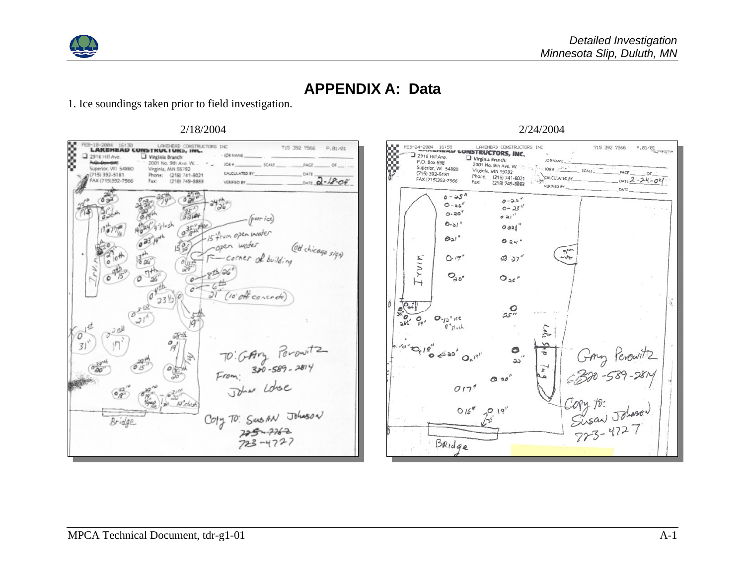

# **APPENDIX A: Data**

1. Ice soundings taken prior to field investigation.



#### 2/18/2004 2/24/2004

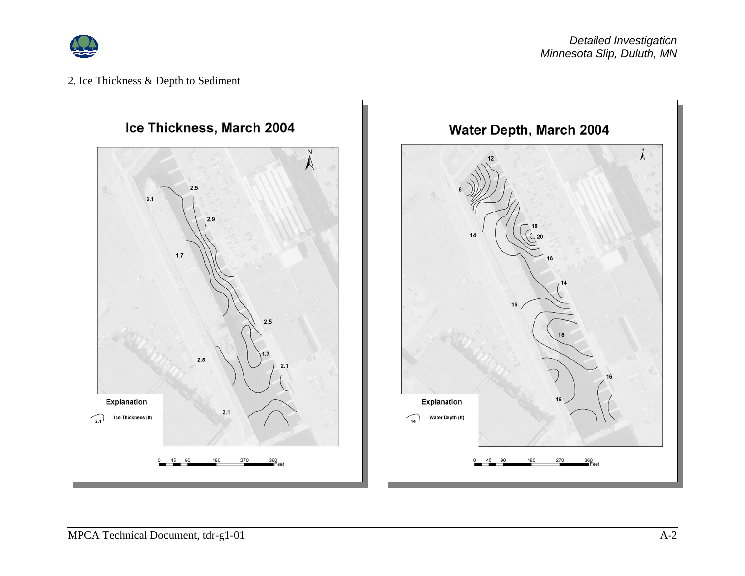

## 2. Ice Thickness & Depth to Sediment

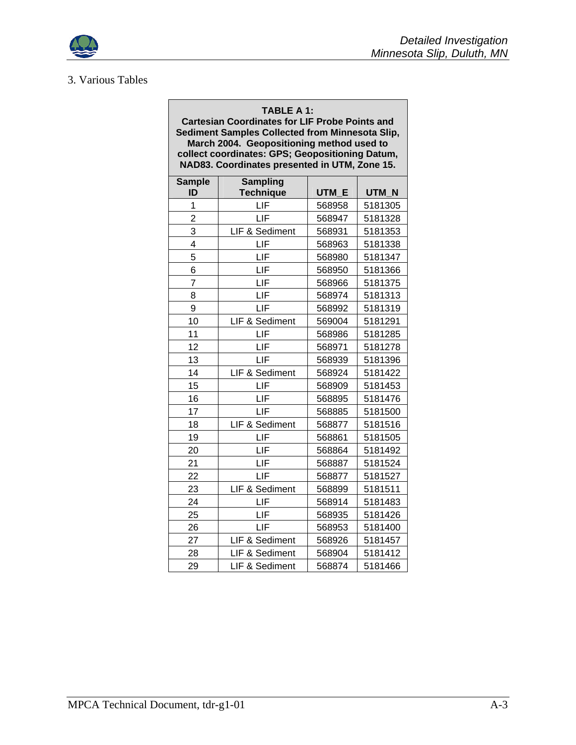

## 3. Various Tables

#### **TABLE A 1:**

**Cartesian Coordinates for LIF Probe Points and Sediment Samples Collected from Minnesota Slip, March 2004. Geopositioning method used to collect coordinates: GPS; Geopositioning Datum, NAD83. Coordinates presented in UTM, Zone 15.** 

| <b>Sample</b><br>ID     | <b>Sampling</b><br><b>Technique</b> | UTM E  | UTM N   |  |
|-------------------------|-------------------------------------|--------|---------|--|
| 1                       | LIF                                 | 568958 | 5181305 |  |
| $\overline{\mathbf{c}}$ | LIF                                 | 568947 | 5181328 |  |
| 3                       | LIF & Sediment                      | 568931 | 5181353 |  |
| 4                       | LIF                                 | 568963 | 5181338 |  |
| 5                       | LIF                                 | 568980 | 5181347 |  |
| 6                       | LIF                                 | 568950 | 5181366 |  |
| 7                       | LIF                                 | 568966 | 5181375 |  |
| 8                       | LIF                                 | 568974 | 5181313 |  |
| 9                       | LIF                                 | 568992 | 5181319 |  |
| 10                      | LIF & Sediment                      | 569004 | 5181291 |  |
| 11                      | LIF                                 | 568986 | 5181285 |  |
| 12                      | LIF                                 | 568971 | 5181278 |  |
| 13                      | LIF                                 | 568939 | 5181396 |  |
| 14                      | LIF & Sediment                      | 568924 | 5181422 |  |
| 15                      | LIF                                 | 568909 | 5181453 |  |
| 16                      | LIF                                 | 568895 | 5181476 |  |
| 17                      | LIF                                 | 568885 | 5181500 |  |
| 18                      | LIF & Sediment                      | 568877 | 5181516 |  |
| 19                      | LIF                                 | 568861 | 5181505 |  |
| 20                      | LIF                                 | 568864 | 5181492 |  |
| 21                      | LIF                                 | 568887 | 5181524 |  |
| 22                      | LIF                                 | 568877 | 5181527 |  |
| 23                      | LIF & Sediment                      | 568899 | 5181511 |  |
| 24                      | LIF                                 | 568914 | 5181483 |  |
| 25                      | LIF                                 | 568935 | 5181426 |  |
| 26                      | LIF                                 | 568953 | 5181400 |  |
| 27                      | LIF & Sediment                      | 568926 | 5181457 |  |
| 28                      | LIF & Sediment                      | 568904 | 5181412 |  |
| 29                      | LIF & Sediment                      | 568874 | 5181466 |  |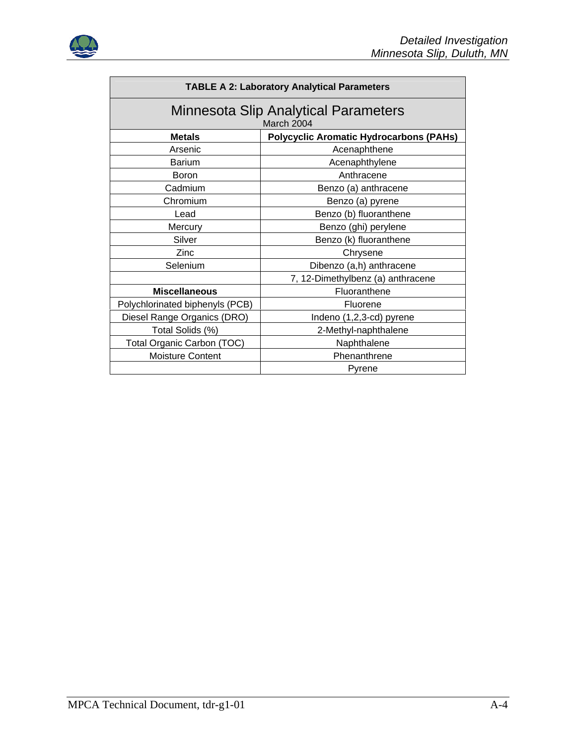

| <b>TABLE A 2: Laboratory Analytical Parameters</b>              |                                   |  |  |  |
|-----------------------------------------------------------------|-----------------------------------|--|--|--|
| <b>Minnesota Slip Analytical Parameters</b><br>March 2004       |                                   |  |  |  |
| <b>Metals</b><br><b>Polycyclic Aromatic Hydrocarbons (PAHs)</b> |                                   |  |  |  |
| Arsenic                                                         | Acenaphthene                      |  |  |  |
| <b>Barium</b>                                                   | Acenaphthylene                    |  |  |  |
| <b>Boron</b>                                                    | Anthracene                        |  |  |  |
| Cadmium                                                         | Benzo (a) anthracene              |  |  |  |
| Chromium<br>Benzo (a) pyrene                                    |                                   |  |  |  |
| Benzo (b) fluoranthene<br>Lead                                  |                                   |  |  |  |
| Mercury                                                         | Benzo (ghi) perylene              |  |  |  |
| Silver                                                          | Benzo (k) fluoranthene            |  |  |  |
| Zinc                                                            | Chrysene                          |  |  |  |
| Selenium                                                        | Dibenzo (a,h) anthracene          |  |  |  |
|                                                                 | 7, 12-Dimethylbenz (a) anthracene |  |  |  |
| <b>Miscellaneous</b>                                            | Fluoranthene                      |  |  |  |
| Polychlorinated biphenyls (PCB)                                 | Fluorene                          |  |  |  |
| Diesel Range Organics (DRO)                                     | Indeno (1,2,3-cd) pyrene          |  |  |  |
| Total Solids (%)<br>2-Methyl-naphthalene                        |                                   |  |  |  |
| Total Organic Carbon (TOC)                                      | Naphthalene                       |  |  |  |
| <b>Moisture Content</b>                                         | Phenanthrene                      |  |  |  |
|                                                                 | Pyrene                            |  |  |  |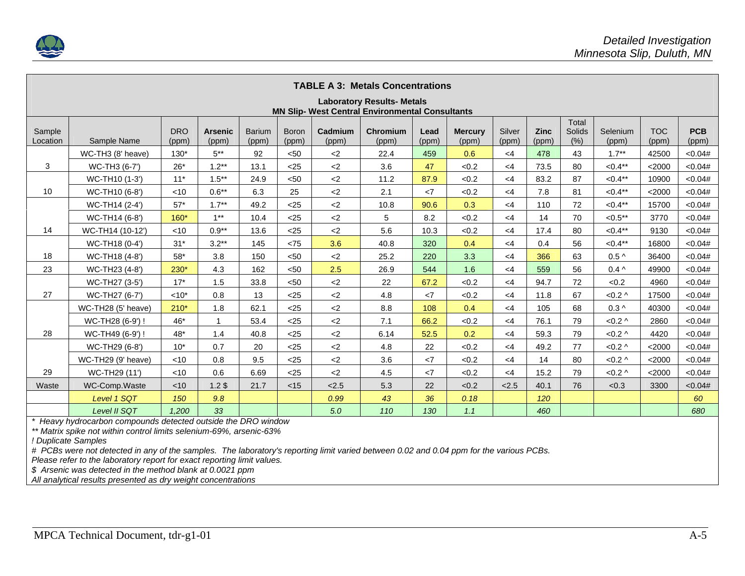

|                                                                                             | <b>TABLE A 3: Metals Concentrations</b> |                     |                         |                        |                       |                  |                   |               |                         |                 |                      |                         |                   |                     |                     |
|---------------------------------------------------------------------------------------------|-----------------------------------------|---------------------|-------------------------|------------------------|-----------------------|------------------|-------------------|---------------|-------------------------|-----------------|----------------------|-------------------------|-------------------|---------------------|---------------------|
| <b>Laboratory Results- Metals</b><br><b>MN Slip- West Central Environmental Consultants</b> |                                         |                     |                         |                        |                       |                  |                   |               |                         |                 |                      |                         |                   |                     |                     |
| Sample<br>Location                                                                          | Sample Name                             | <b>DRO</b><br>(ppm) | <b>Arsenic</b><br>(ppm) | <b>Barium</b><br>(ppm) | <b>Boron</b><br>(ppm) | Cadmium<br>(ppm) | Chromium<br>(ppm) | Lead<br>(ppm) | <b>Mercury</b><br>(ppm) | Silver<br>(ppm) | <b>Zinc</b><br>(ppm) | Total<br>Solids<br>(% ) | Selenium<br>(ppm) | <b>TOC</b><br>(ppm) | <b>PCB</b><br>(ppm) |
|                                                                                             | WC-TH3 (8' heave)                       | $130*$              | $5***$                  | 92                     | < 50                  | $<$ 2            | 22.4              | 459           | 0.6                     | $<$ 4           | 478                  | 43                      | $1.7**$           | 42500               | < 0.04#             |
| 3                                                                                           | WC-TH3 (6-7')                           | $26*$               | $1.2**$                 | 13.1                   | $25$                  | $<$ 2            | 3.6               | 47            | < 0.2                   | $<$ 4           | 73.5                 | 80                      | $< 0.4***$        | $<$ 2000            | < 0.04#             |
|                                                                                             | WC-TH10 (1-3')                          | $11*$               | $1.5***$                | 24.9                   | $50$                  | $<$ 2            | 11.2              | 87.9          | < 0.2                   | $<$ 4           | 83.2                 | 87                      | $< 0.4**$         | 10900               | < 0.04#             |
| 10                                                                                          | WC-TH10 (6-8')                          | $<$ 10              | $0.6**$                 | 6.3                    | 25                    | $<$ 2            | 2.1               | $\langle 7$   | < 0.2                   | $<$ 4           | 7.8                  | 81                      | $< 0.4***$        | $<$ 2000            | < 0.04#             |
|                                                                                             | WC-TH14 (2-4')                          | $57*$               | $1.7***$                | 49.2                   | $25$                  | $<$ 2            | 10.8              | 90.6          | 0.3                     | $<$ 4           | 110                  | 72                      | $< 0.4***$        | 15700               | < 0.04#             |
|                                                                                             | WC-TH14 (6-8')                          | $160*$              | $1***$                  | 10.4                   | $<$ 25                | $<$ 2            | 5                 | 8.2           | <0.2                    | $<$ 4           | 14                   | 70                      | $< 0.5***$        | 3770                | < 0.04#             |
| 14                                                                                          | WC-TH14 (10-12')                        | $<$ 10              | $0.9**$                 | 13.6                   | $25$                  | $<$ 2            | 5.6               | 10.3          | < 0.2                   | $<$ 4           | 17.4                 | 80                      | $< 0.4***$        | 9130                | < 0.04#             |
|                                                                                             | WC-TH18 (0-4')                          | $31*$               | $3.2**$                 | 145                    | < 75                  | 3.6              | 40.8              | 320           | 0.4                     | $<$ 4           | 0.4                  | 56                      | $< 0.4**$         | 16800               | <0.04#              |
| 18                                                                                          | WC-TH18 (4-8')                          | $58*$               | 3.8                     | 150                    | < 50                  | $<$ 2            | 25.2              | 220           | 3.3                     | $<$ 4           | 366                  | 63                      | $0.5\wedge$       | 36400               | < 0.04#             |
| 23                                                                                          | WC-TH23 (4-8')                          | $230*$              | 4.3                     | 162                    | $50$                  | 2.5              | 26.9              | 544           | 1.6                     | $<$ 4           | 559                  | 56                      | $0.4^{\wedge}$    | 49900               | < 0.04#             |
|                                                                                             | WC-TH27 (3-5')                          | $17*$               | 1.5                     | 33.8                   | $50$                  | $<$ 2            | 22                | 67.2          | < 0.2                   | $<$ 4           | 94.7                 | 72                      | < 0.2             | 4960                | <0.04#              |
| 27                                                                                          | WC-TH27 (6-7')                          | $< 10*$             | 0.8                     | 13                     | $25$                  | $<$ 2            | 4.8               | <7            | < 0.2                   | $\leq 4$        | 11.8                 | 67                      | $< 0.2 \wedge$    | 17500               | < 0.04#             |
|                                                                                             | WC-TH28 (5' heave)                      | $210*$              | 1.8                     | 62.1                   | $25$                  | $<$ 2            | 8.8               | 108           | 0.4                     | $<$ 4           | 105                  | 68                      | $0.3\land$        | 40300               | < 0.04#             |
|                                                                                             | WC-TH28 (6-9') !                        | 46*                 |                         | 53.4                   | $25$                  | $<$ 2            | 7.1               | 66.2          | < 0.2                   | $<$ 4           | 76.1                 | 79                      | $< 0.2 \wedge$    | 2860                | < 0.04#             |
| 28                                                                                          | WC-TH49 (6-9') !                        | 48*                 | 1.4                     | 40.8                   | $25$                  | ${<}2$           | 6.14              | 52.5          | 0.2                     | $<$ 4           | 59.3                 | 79                      | $< 0.2 \wedge$    | 4420                | < 0.04#             |
|                                                                                             | WC-TH29 (6-8')                          | $10*$               | 0.7                     | 20                     | $25$                  | $2$              | 4.8               | 22            | < 0.2                   | $<$ 4           | 49.2                 | 77                      | $< 0.2 \wedge$    | $<$ 2000            | < 0.04#             |
|                                                                                             | WC-TH29 (9' heave)                      | $<$ 10              | 0.8                     | 9.5                    | $<$ 25                | $<$ 2            | 3.6               | <7            | < 0.2                   | $<$ 4           | 14                   | 80                      | $< 0.2 \wedge$    | $<$ 2000            | < 0.04#             |
| 29                                                                                          | WC-TH29 (11')                           | $<$ 10              | 0.6                     | 6.69                   | $25$                  | $<$ 2            | 4.5               | $\langle 7$   | < 0.2                   | $<$ 4           | 15.2                 | 79                      | $< 0.2 \wedge$    | $<$ 2000            | < 0.04#             |
| Waste                                                                                       | WC-Comp.Waste                           | < 10                | 1.2 <sup>5</sup>        | 21.7                   | $<$ 15                | 2.5              | 5.3               | 22            | < 0.2                   | < 2.5           | 40.1                 | 76                      | < 0.3             | 3300                | < 0.04#             |
|                                                                                             | Level 1 SQT                             | 150                 | 9.8                     |                        |                       | 0.99             | 43                | 36            | 0.18                    |                 | 120                  |                         |                   |                     | 60                  |
|                                                                                             | Level II SQT                            | 1.200               | 33                      |                        |                       | 5.0              | 110               | 130           | 1.1                     |                 | 460                  |                         |                   |                     | 680                 |

*\* Heavy hydrocarbon compounds detected outside the DRO window* 

*\*\* Matrix spike not within control limits selenium-69%, arsenic-63%* 

*! Duplicate Samples* 

*# PCBs were not detected in any of the samples. The laboratory's reporting limit varied between 0.02 and 0.04 ppm for the various PCBs.* 

*Please refer to the laboratory report for exact reporting limit values.* 

*\$ Arsenic was detected in the method blank at 0.0021 ppm* 

*All analytical results presented as dry weight concentrations*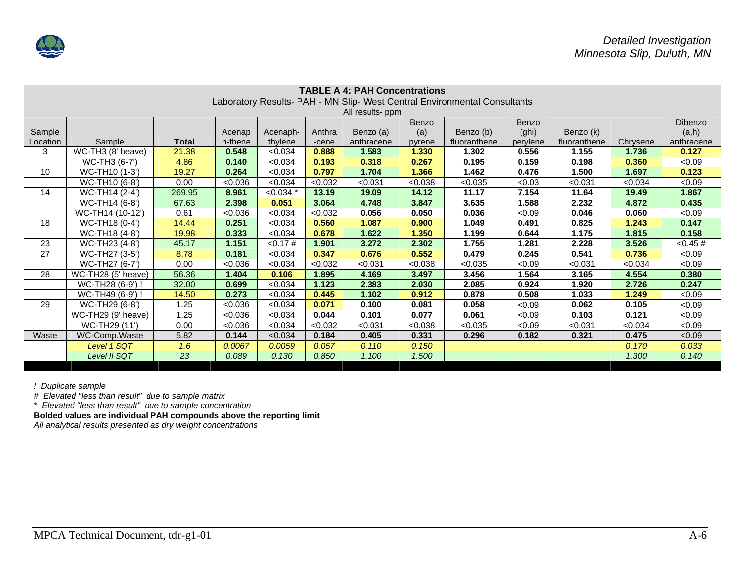

|          |                                                                           |              |         |             |         | <b>TABLE A 4: PAH Concentrations</b> |         |              |          |              |          |             |
|----------|---------------------------------------------------------------------------|--------------|---------|-------------|---------|--------------------------------------|---------|--------------|----------|--------------|----------|-------------|
|          | Laboratory Results- PAH - MN Slip- West Central Environmental Consultants |              |         |             |         |                                      |         |              |          |              |          |             |
|          | All results- ppm                                                          |              |         |             |         |                                      |         |              |          |              |          |             |
|          | Benzo<br>Benzo<br><b>Dibenzo</b>                                          |              |         |             |         |                                      |         |              |          |              |          |             |
| Sample   |                                                                           |              | Acenap  | Acenaph-    | Anthra  | Benzo (a)                            | (a)     | Benzo (b)    | (ghi)    | Benzo (k)    |          | (a,h)       |
| Location | Sample                                                                    | <b>Total</b> | h-thene | thylene     | -cene   | anthracene                           | pyrene  | fluoranthene | perylene | fluoranthene | Chrysene | anthracene  |
| 3        | WC-TH3 (8' heave)                                                         | 21.38        | 0.548   | < 0.034     | 0.888   | 1.583                                | 1.330   | 1.302        | 0.556    | 1.155        | 1.736    | 0.127       |
|          | WC-TH3 (6-7')                                                             | 4.86         | 0.140   | < 0.034     | 0.193   | 0.318                                | 0.267   | 0.195        | 0.159    | 0.198        | 0.360    | <0.09       |
| 10       | WC-TH10 (1-3')                                                            | 19.27        | 0.264   | < 0.034     | 0.797   | 1.704                                | 1.366   | 1.462        | 0.476    | 1.500        | 1.697    | 0.123       |
|          | WC-TH10 (6-8')                                                            | 0.00         | < 0.036 | < 0.034     | < 0.032 | < 0.031                              | < 0.038 | < 0.035      | < 0.03   | < 0.031      | < 0.034  | <0.09       |
| 14       | WC-TH14 (2-4')                                                            | 269.95       | 8.961   | $< 0.034$ * | 13.19   | 19.09                                | 14.12   | 11.17        | 7.154    | 11.64        | 19.49    | 1.867       |
|          | WC-TH14 (6-8')                                                            | 67.63        | 2.398   | 0.051       | 3.064   | 4.748                                | 3.847   | 3.635        | 1.588    | 2.232        | 4.872    | 0.435       |
|          | WC-TH14 (10-12')                                                          | 0.61         | < 0.036 | < 0.034     | <0.032  | 0.056                                | 0.050   | 0.036        | < 0.09   | 0.046        | 0.060    | <0.09       |
| 18       | WC-TH18 (0-4')                                                            | 14.44        | 0.251   | < 0.034     | 0.560   | 1.087                                | 0.900   | 1.049        | 0.491    | 0.825        | 1.243    | 0.147       |
|          | WC-TH18 (4-8')                                                            | 19.98        | 0.333   | < 0.034     | 0.678   | 1.622                                | 1.350   | 1.199        | 0.644    | 1.175        | 1.815    | 0.158       |
| 23       | WC-TH23 (4-8')                                                            | 45.17        | 1.151   | < 0.17#     | 1.901   | 3.272                                | 2.302   | 1.755        | 1.281    | 2.228        | 3.526    | $< 0.45 \#$ |
| 27       | WC-TH27 (3-5')                                                            | 8.78         | 0.181   | < 0.034     | 0.347   | 0.676                                | 0.552   | 0.479        | 0.245    | 0.541        | 0.736    | <0.09       |
|          | WC-TH27 (6-7')                                                            | 0.00         | < 0.036 | < 0.034     | <0.032  | < 0.031                              | < 0.038 | < 0.035      | < 0.09   | < 0.031      | < 0.034  | <0.09       |
| 28       | WC-TH28 (5' heave)                                                        | 56.36        | 1.404   | 0.106       | 1.895   | 4.169                                | 3.497   | 3.456        | 1.564    | 3.165        | 4.554    | 0.380       |
|          | WC-TH28 (6-9') !                                                          | 32.00        | 0.699   | < 0.034     | 1.123   | 2.383                                | 2.030   | 2.085        | 0.924    | 1.920        | 2.726    | 0.247       |
|          | WC-TH49 (6-9') !                                                          | 14.50        | 0.273   | < 0.034     | 0.445   | 1.102                                | 0.912   | 0.878        | 0.508    | 1.033        | 1.249    | <0.09       |
| 29       | WC-TH29 (6-8')                                                            | 1.25         | < 0.036 | < 0.034     | 0.071   | 0.100                                | 0.081   | 0.058        | < 0.09   | 0.062        | 0.105    | <0.09       |
|          | WC-TH29 (9' heave)                                                        | 1.25         | < 0.036 | < 0.034     | 0.044   | 0.101                                | 0.077   | 0.061        | < 0.09   | 0.103        | 0.121    | <0.09       |
|          | WC-TH29 (11')                                                             | 0.00         | < 0.036 | < 0.034     | < 0.032 | < 0.031                              | < 0.038 | < 0.035      | < 0.09   | < 0.031      | < 0.034  | < 0.09      |
| Waste    | WC-Comp.Waste                                                             | 5.82         | 0.144   | < 0.034     | 0.184   | 0.405                                | 0.331   | 0.296        | 0.182    | 0.321        | 0.475    | <0.09       |
|          | Level 1 SQT                                                               | 1.6          | 0.0067  | 0.0059      | 0.057   | 0.110                                | 0.150   |              |          |              | 0.170    | 0.033       |
|          | Level II SQT                                                              | 23           | 0.089   | 0.130       | 0.850   | 1.100                                | 1.500   |              |          |              | 1.300    | 0.140       |

*! Duplicate sample* 

*# Elevated "less than result" due to sample matrix* 

*\* Elevated "less than result" due to sample concentration*

**Bolded values are individual PAH compounds above the reporting limit** 

*All analytical results presented as dry weight concentrations*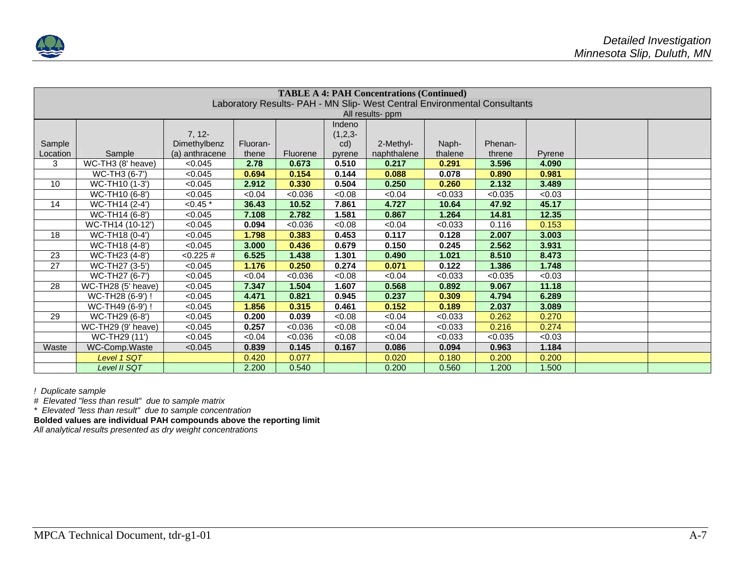

|                 | <b>TABLE A 4: PAH Concentrations (Continued)</b>                          |                |          |          |              |             |         |         |        |  |  |
|-----------------|---------------------------------------------------------------------------|----------------|----------|----------|--------------|-------------|---------|---------|--------|--|--|
|                 | Laboratory Results- PAH - MN Slip- West Central Environmental Consultants |                |          |          |              |             |         |         |        |  |  |
|                 | All results- ppm                                                          |                |          |          |              |             |         |         |        |  |  |
|                 |                                                                           |                |          |          | Indeno       |             |         |         |        |  |  |
|                 |                                                                           | $7, 12-$       |          |          | $(1, 2, 3 -$ |             |         |         |        |  |  |
| Sample          |                                                                           | Dimethylbenz   | Fluoran- |          | cd)          | 2-Methyl-   | Naph-   | Phenan- |        |  |  |
| Location        | Sample                                                                    | (a) anthracene | thene    | Fluorene | pyrene       | naphthalene | thalene | threne  | Pyrene |  |  |
| 3               | WC-TH3 (8' heave)                                                         | < 0.045        | 2.78     | 0.673    | 0.510        | 0.217       | 0.291   | 3.596   | 4.090  |  |  |
|                 | WC-TH3 (6-7')                                                             | < 0.045        | 0.694    | 0.154    | 0.144        | 0.088       | 0.078   | 0.890   | 0.981  |  |  |
| 10              | WC-TH10 (1-3')                                                            | < 0.045        | 2.912    | 0.330    | 0.504        | 0.250       | 0.260   | 2.132   | 3.489  |  |  |
|                 | WC-TH10 (6-8')                                                            | < 0.045        | < 0.04   | < 0.036  | <0.08        | < 0.04      | < 0.033 | < 0.035 | < 0.03 |  |  |
| 14              | $\overline{WC\text{-}TH14}$ (2-4')                                        | $< 0.45$ *     | 36.43    | 10.52    | 7.861        | 4.727       | 10.64   | 47.92   | 45.17  |  |  |
|                 | WC-TH14 (6-8')                                                            | < 0.045        | 7.108    | 2.782    | 1.581        | 0.867       | 1.264   | 14.81   | 12.35  |  |  |
|                 | WC-TH14 (10-12')                                                          | < 0.045        | 0.094    | < 0.036  | 0.08         | < 0.04      | < 0.033 | 0.116   | 0.153  |  |  |
| 18              | WC-TH18 (0-4')                                                            | < 0.045        | 1.798    | 0.383    | 0.453        | 0.117       | 0.128   | 2.007   | 3.003  |  |  |
|                 | WC-TH18 (4-8')                                                            | < 0.045        | 3.000    | 0.436    | 0.679        | 0.150       | 0.245   | 2.562   | 3.931  |  |  |
| 23              | $\overline{\text{WC-TH23}}$ (4-8')                                        | < 0.225 #      | 6.525    | 1.438    | 1.301        | 0.490       | 1.021   | 8.510   | 8.473  |  |  |
| $\overline{27}$ | WC-TH27 (3-5')                                                            | < 0.045        | 1.176    | 0.250    | 0.274        | 0.071       | 0.122   | 1.386   | 1.748  |  |  |
|                 | WC-TH27 (6-7')                                                            | < 0.045        | <0.04    | < 0.036  | <0.08        | <0.04       | < 0.033 | < 0.035 | < 0.03 |  |  |
| 28              | WC-TH28 (5' heave)                                                        | < 0.045        | 7.347    | 1.504    | 1.607        | 0.568       | 0.892   | 9.067   | 11.18  |  |  |
|                 | WC-TH28 (6-9') !                                                          | < 0.045        | 4.471    | 0.821    | 0.945        | 0.237       | 0.309   | 4.794   | 6.289  |  |  |
|                 | WC-TH49 (6-9') !                                                          | < 0.045        | 1.856    | 0.315    | 0.461        | 0.152       | 0.189   | 2.037   | 3.089  |  |  |
| 29              | $\overline{\text{WC-TH29}}$ (6-8')                                        | < 0.045        | 0.200    | 0.039    | 0.08         | <0.04       | < 0.033 | 0.262   | 0.270  |  |  |
|                 | WC-TH29 (9' heave)                                                        | < 0.045        | 0.257    | < 0.036  | 0.08         | <0.04       | < 0.033 | 0.216   | 0.274  |  |  |
|                 | WC-TH29 (11')                                                             | < 0.045        | <0.04    | < 0.036  | 0.08         | < 0.04      | < 0.033 | < 0.035 | <0.03  |  |  |
| Waste           | WC-Comp.Waste                                                             | < 0.045        | 0.839    | 0.145    | 0.167        | 0.086       | 0.094   | 0.963   | 1.184  |  |  |
|                 | Level 1 SQT                                                               |                | 0.420    | 0.077    |              | 0.020       | 0.180   | 0.200   | 0.200  |  |  |
|                 | Level II SQT                                                              |                | 2.200    | 0.540    |              | 0.200       | 0.560   | 1.200   | 1.500  |  |  |

*! Duplicate sample* 

*# Elevated "less than result" due to sample matrix* 

*\* Elevated "less than result" due to sample concentration*

**Bolded values are individual PAH compounds above the reporting limit** 

*All analytical results presented as dry weight concentrations*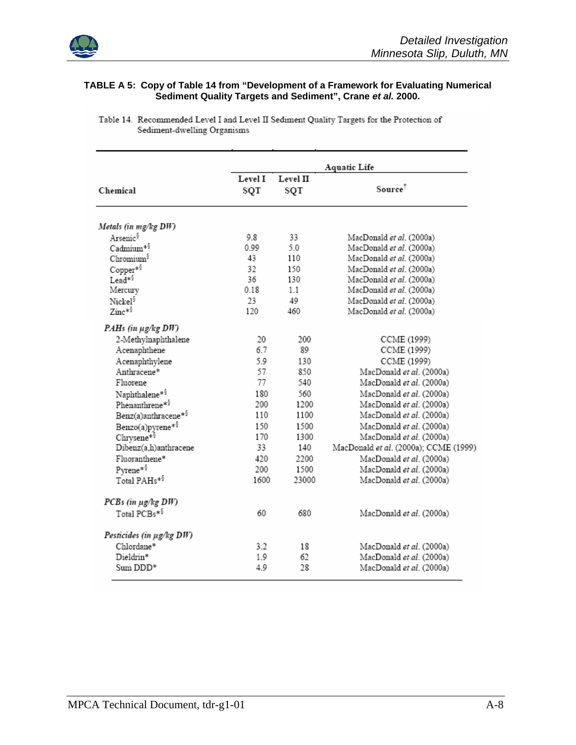

J.

#### **TABLE A 5: Copy of Table 14 from "Development of a Framework for Evaluating Numerical Sediment Quality Targets and Sediment", Crane** *et al.* **2000.**

|                            |                |                 | <b>Aquatic Life</b>                   |
|----------------------------|----------------|-----------------|---------------------------------------|
| Chemical                   | Level I<br>SQT | Level II<br>SQT | $Source^{\dagger}$                    |
|                            |                |                 |                                       |
| Metals (in mg/kg DW)       |                |                 |                                       |
| Arsenic <sup>§</sup>       | 98             | 33              | MacDonald et al. (2000a)              |
| Cadmium*§                  | 0.99           | 5.0             | MacDonald et al. (2000a)              |
| Chromium <sup>§</sup>      | 43             | 110             | MacDonald et al. (2000a)              |
| Copper*5                   | 32             | 150             | MacDonald et al. (2000a)              |
| Lead* <sup>§</sup>         | 36             | 130             | MacDonald et al. (2000a)              |
| Mercury                    | 0.18           | 1.1             | MacDonald et al. (2000a)              |
| Nickel <sup>§</sup>        | 23             | 49              | MacDonald et al. (2000a)              |
| $\mathrm{Zinc}^{*\S}$      | 120            | 460             | MacDonald et al. (2000a)              |
| PAHs (in µg/kg DW)         |                |                 |                                       |
| 2-Methylnaphthalene        | 20             | 200             | CCME (1999)                           |
| Acenaphthene               | 6.7            | 89              | CCME (1999)                           |
| Acenaphthylene             | 5.9            | 130             | CCME (1999)                           |
| Anthracene*                | 57             | 850             | MacDonald et al. (2000a)              |
| Fluorene                   | 77             | 540             | MacDonald et al. (2000a)              |
| Naphthalene* <sup>§</sup>  | 180            | 560             | MacDonald et al. (2000a)              |
| Phenanthrene* <sup>§</sup> | 200            | 1200            | MacDonald et al. (2000a)              |
| Benz(a)anthracene*5        | 110            | 1100            | MacDonald et al. (2000a)              |
| Benzo(a)pyrene*5           | 150            | 1500            | MacDonald et al. (2000a)              |
| Chrysene*5                 | 170            | 1300            | MacDonald et al. (2000a)              |
| Dibenz(a,h)anthracene      | 33             | 140             | MacDonald et al. (2000a); CCME (1999) |
| Fluoranthene*              | 420            | 2200            | MacDonald et al. (2000a)              |
| Pyrene* <sup>§</sup>       | 200            | 1500            | MacDonald et al. (2000a)              |
| Total PAHs <sup>*5</sup>   | 1600           | 23000           | MacDonald et al. (2000a)              |
| PCBs (in µg/kg DW)         |                |                 |                                       |
| Total PCBs*5               | 60             | 680             | MacDonald et al. (2000a)              |
|                            |                |                 |                                       |
| Pesticides (in µg/kg DW)   |                |                 |                                       |
| Chlordane*                 | 3.2            | 18              | MacDonald et al. (2000a)              |
| Dieldrin*                  | 1.9            | 62              | MacDonald et al. (2000a)              |
| Sum DDD*                   | 4.9            | 28              | MacDonald et al. (2000a)              |

Table 14. Recommended Level I and Level II Sediment Quality Targets for the Protection of Sediment-dwelling Organisms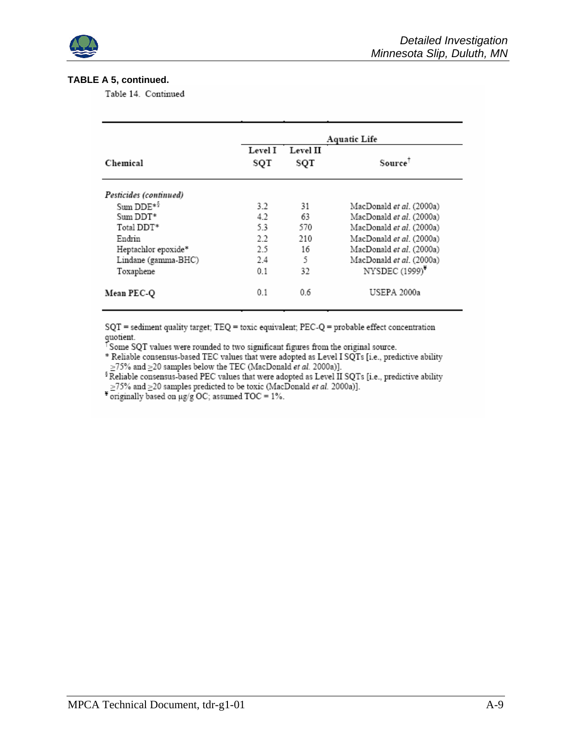

#### **TABLE A 5, continued.**

Table 14. Continued

|                        | <b>Aquatic Life</b> |          |                                 |  |  |  |  |
|------------------------|---------------------|----------|---------------------------------|--|--|--|--|
|                        | Level I             | Level II |                                 |  |  |  |  |
| Chemical               | SQT                 | SQT      | Source <sup>1</sup>             |  |  |  |  |
| Pesticides (continued) |                     |          |                                 |  |  |  |  |
| Sum DDE*5              | 3.2                 | 31       | MacDonald <i>et al.</i> (2000a) |  |  |  |  |
| Sum DDT*               | 4.2                 | 63       | MacDonald et al. (2000a)        |  |  |  |  |
| Total DDT*             | 5.3                 | 570      | MacDonald <i>et al.</i> (2000a) |  |  |  |  |
| Endrin                 | 2.2                 | 210      | MacDonald et al. (2000a)        |  |  |  |  |
| Heptachlor epoxide*    | 2.5                 | 16       | MacDonald et al. (2000a)        |  |  |  |  |
| Lindane (gamma-BHC)    | 2.4                 | 5        | MacDonald et al. (2000a)        |  |  |  |  |
| Toxaphene              | 0.1                 | 32       | NYSDEC (1999)*                  |  |  |  |  |
| Mean PEC-Q             | 0.1                 | 0.6      | USEPA 2000a                     |  |  |  |  |

SQT = sediment quality target; TEQ = toxic equivalent; PEC-Q = probable effect concentration quotient.

<sup>T</sup>Some SQT values were rounded to two significant figures from the original source.

\* Reliable consensus-based TEC values that were adopted as Level I SQTs [i.e., predictive ability  $\geq$  75% and  $\geq$  20 samples below the TEC (MacDonald et al. 2000a)].

<sup>§</sup> Reliable consensus-based PEC values that were adopted as Level II SQTs [i.e., predictive ability  $\geq$ 75% and  $\geq$ 20 samples predicted to be toxic (MacDonald et al. 2000a)].

 $\frac{2}{3}$  originally based on  $\mu$ g/g OC; assumed TOC = 1%.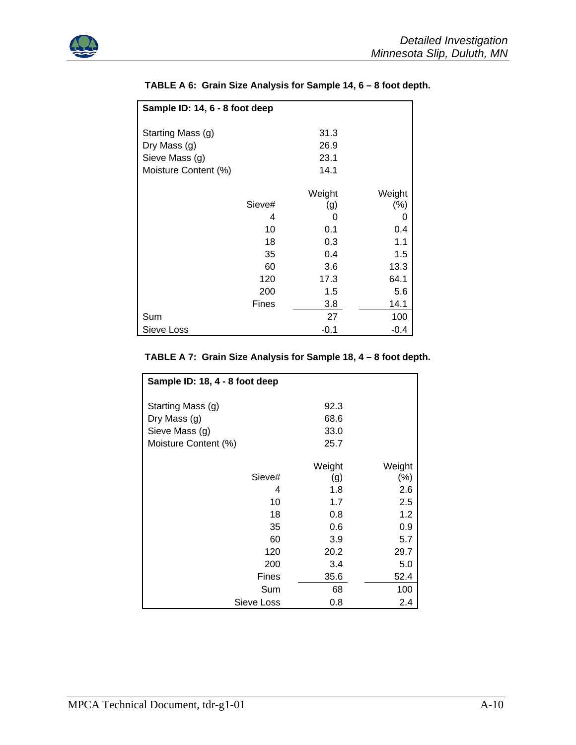

| Sample ID: 14, 6 - 8 foot deep |        |        |  |  |  |  |
|--------------------------------|--------|--------|--|--|--|--|
| Starting Mass (g)              | 31.3   |        |  |  |  |  |
| Dry Mass (g)                   | 26.9   |        |  |  |  |  |
| Sieve Mass (g)                 | 23.1   |        |  |  |  |  |
| Moisture Content (%)           | 14.1   |        |  |  |  |  |
|                                | Weight | Weight |  |  |  |  |
| Sieve#                         | (g)    | (% )   |  |  |  |  |
| 4                              | 0      | 0      |  |  |  |  |
| 10                             | 0.1    | 0.4    |  |  |  |  |
| 18                             | 0.3    | 1.1    |  |  |  |  |
| 35                             | 0.4    | 1.5    |  |  |  |  |
| 60                             | 3.6    | 13.3   |  |  |  |  |
| 120                            | 17.3   | 64.1   |  |  |  |  |
| 200                            | 1.5    | 5.6    |  |  |  |  |
| <b>Fines</b>                   | 3.8    | 14.1   |  |  |  |  |
| Sum                            | 27     | 100    |  |  |  |  |
| Sieve Loss                     | $-0.1$ | $-0.4$ |  |  |  |  |

## **TABLE A 6: Grain Size Analysis for Sample 14, 6 – 8 foot depth.**

# **TABLE A 7: Grain Size Analysis for Sample 18, 4 – 8 foot depth.**

| Sample ID: 18, 4 - 8 foot deep |        |         |  |  |  |
|--------------------------------|--------|---------|--|--|--|
| Starting Mass (g)              | 92.3   |         |  |  |  |
| Dry Mass (g)                   | 68.6   |         |  |  |  |
| Sieve Mass (g)                 | 33.0   |         |  |  |  |
| Moisture Content (%)           | 25.7   |         |  |  |  |
|                                | Weight | Weight  |  |  |  |
| Sieve#                         | (g)    | $(\% )$ |  |  |  |
| 4                              | 1.8    | 2.6     |  |  |  |
| 10                             | 1.7    | 2.5     |  |  |  |
| 18                             | 0.8    | 1.2     |  |  |  |
| 35                             | 0.6    | 0.9     |  |  |  |
| 60                             | 3.9    | 5.7     |  |  |  |
| 120                            | 20.2   | 29.7    |  |  |  |
| 200                            | 3.4    | 5.0     |  |  |  |
| Fines                          | 35.6   | 52.4    |  |  |  |
| Sum                            | 68     | 100     |  |  |  |
| Sieve Loss                     | 0.8    | 2.4     |  |  |  |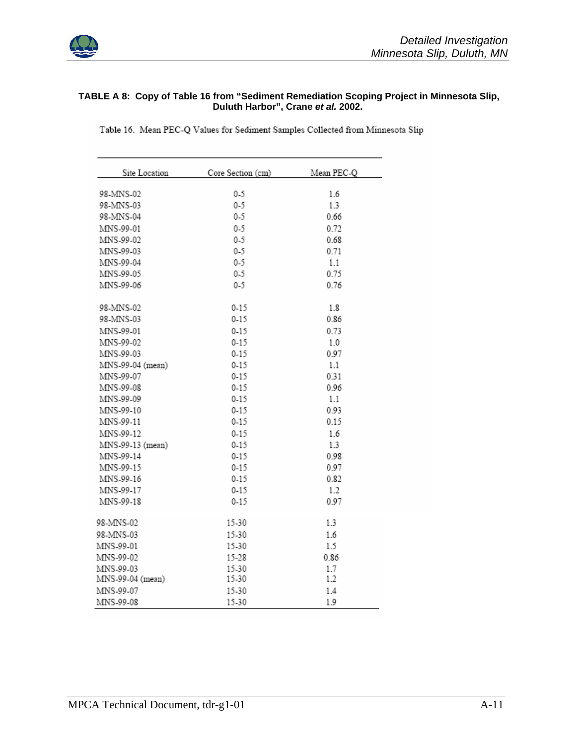

#### **TABLE A 8: Copy of Table 16 from "Sediment Remediation Scoping Project in Minnesota Slip, Duluth Harbor", Crane** *et al.* **2002.**

Table 16. Mean PEC-Q Values for Sediment Samples Collected from Minnesota Slip

| Site Location    | Core Section (cm) | Mean PEC-Q |
|------------------|-------------------|------------|
| 98-MNS-02        | $0 - 5$           | 1.6        |
| 98-MNS-03        | $0 - 5$           | 1.3        |
| 98-MNS-04        | $0-5$             | 0.66       |
| MNS-99-01        | $0 - 5$           | 0.72       |
| MNS-99-02        | $0 - 5$           | 0.68       |
| MNS-99-03        | $0 - 5$           | 0.71       |
| MNS-99-04        | $0 - 5$           | 1.1        |
| MNS-99-05        | $0 - 5$           | 0.75       |
| MNS-99-06        | $0 - 5$           | 0.76       |
| 98-MNS-02        | $0 - 15$          | 1.8        |
| 98-MNS-03        | $0 - 15$          | 0.86       |
| MNS-99-01        | $0 - 15$          | 0.73       |
| MNS-99-02        | $0 - 15$          | 1.0        |
| MNS-99-03        | $0 - 15$          | 0.97       |
| MNS-99-04 (mean) | $0 - 15$          | 1.1        |
| MNS-99-07        | $0 - 15$          | 0.31       |
| MNS-99-08        | $0 - 15$          | 0.96       |
| MNS-99-09        | $0 - 15$          | 1.1        |
| MNS-99-10        | $0 - 15$          | 0.93       |
| MNS-99-11        | $0 - 15$          | 0.15       |
| MNS-99-12        | $0 - 15$          | 1.6        |
| MNS-99-13 (mean) | $0 - 15$          | 1.3        |
| MNS-99-14        | $0 - 15$          | 0.98       |
| MNS-99-15        | $0 - 15$          | 0.97       |
| MNS-99-16        | $0 - 15$          | 0.82       |
| MNS-99-17        | $0 - 15$          | 1.2        |
| MNS-99-18        | $0 - 15$          | 0.97       |
| 98-MNS-02        | 15-30             | 1.3        |
| 98-MNS-03        | 15-30             | 1.6        |
| MNS-99-01        | 15-30             | 1.5        |
| MNS-99-02        | 15-28             | 0.86       |
| MNS-99-03        | 15-30             | 17         |
| MNS-99-04 (mean) | 15-30             | 1.2        |
| MNS-99-07        | 15-30             | 1.4        |
| MNS-99-08        | 15-30             | 1.9        |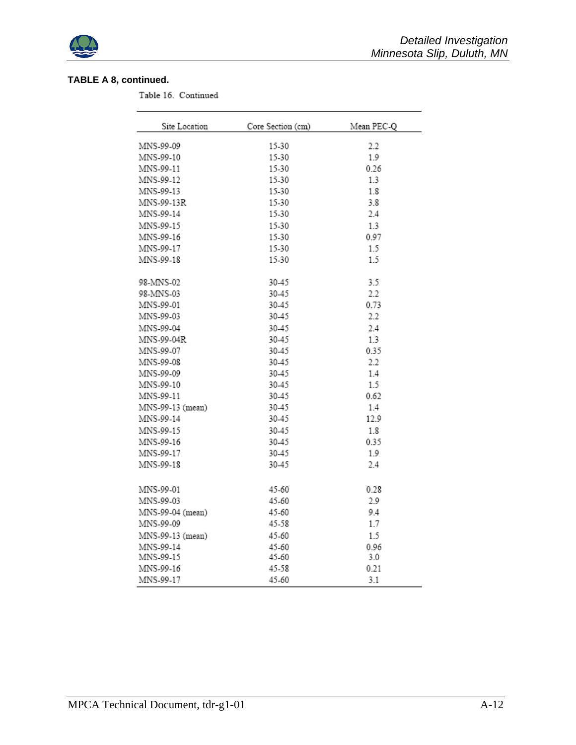

## **TABLE A 8, continued.**

Table 16. Continued

| Site Location    | Core Section (cm) | Mean PEC-O |
|------------------|-------------------|------------|
| MNS-99-09        | 15-30             | 2.2        |
| MNS-99-10        | 15-30             | 1.9        |
| MNS-99-11        | 15-30             | 0.26       |
| MNS-99-12        | 15-30             | 1.3        |
| MNS-99-13        | 15-30             | 1.8        |
| MNS-99-13R       | 15-30             | 3.8        |
| MNS-99-14        | 15-30             | 2.4        |
| MNS-99-15        | 15-30             | 1.3        |
| MNS-99-16        | 15-30             | 0.97       |
| MNS-99-17        | 15-30             | 1.5        |
| MNS-99-18        | 15-30             | 1.5        |
| 98-MNS-02        | 30-45             | 3.5        |
| 98-MNS-03        | 30-45             | 2.2        |
| MNS-99-01        | 30-45             | 0.73       |
| MNS-99-03        | 30-45             | 2.2        |
| MNS-99-04        | 30-45             | 2.4        |
| MNS-99-04R       | 30-45             | 1.3        |
| MNS-99-07        | 30-45             | 0.35       |
| MNS-99-08        | 30-45             | 2.2        |
| MNS-99-09        | 30-45             | 1.4        |
| MNS-99-10        | 30-45             | 1.5        |
| MNS-99-11        | 30-45             | 0.62       |
| MNS-99-13 (mean) | 30-45             | 1.4        |
| MNS-99-14        | 30-45             | 12.9       |
| MNS-99-15        | 30-45             | 1.8        |
| MNS-99-16        | 30-45             | 0.35       |
| MNS-99-17        | 30-45             | 1.9        |
| MNS-99-18        | 30-45             | 2.4        |
| MNS-99-01        | 45-60             | 0.28       |
| MNS-99-03        | 45-60             | 2.9        |
| MNS-99-04 (mean) | 45-60             | 9.4        |
| MNS-99-09        | 45-58             | 1.7        |
| MNS-99-13 (mean) | 45-60             | 1.5        |
| MNS-99-14        | 45-60             | 0.96       |
| MNS-99-15        | 45-60             | 3.0        |
| MNS-99-16        | 45-58             | 0.21       |
| MNS-99-17        | 45-60             | 3.1        |